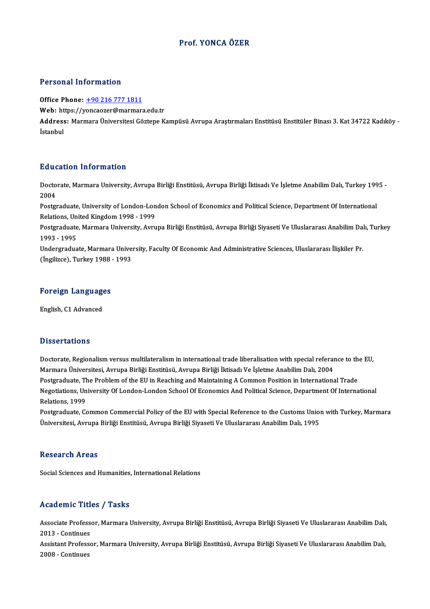### Prof. YONCA ÖZER

#### Personal Information

Office Phone: +90 216 777 1811

Tereorial Information<br>Office Phone: <u>+90 216 777 1811</u><br>Web: https://y[oncaozer@marmar](tel:+90 216 777 1811)a.edu.tr

Address: Marmara Üniversitesi Göztepe Kampüsü Avrupa Araştırmaları Enstitüsü Enstitüler Binası 3. Kat 34722 Kadıköy -<br>İstanbul Web: ht<br>Address<br>İstanbul

#### Education Information

**Education Information**<br>Doctorate, Marmara University, Avrupa Birliği Enstitüsü, Avrupa Birliği İktisadı Ve İşletme Anabilim Dalı, Turkey 1995 -<br>2004 But<br>Docto<br>2004<br>Poster Doctorate, Marmara University, Avrupa Birliği Enstitüsü, Avrupa Birliği İktisadı Ve İşletme Anabilim Dalı, Turkey 199<br>2004<br>Postgraduate, University of London-London School of Economics and Political Science, Department Of

2004<br>Postgraduate, University of London-London School of Economics and Political Science, Department Of International Relations, United Kingdom 1998 - 1999

Postgraduate, Marmara University, Avrupa Birliği Enstitüsü, Avrupa Birliği Siyaseti Ve Uluslararası Anabilim Dalı, Turkey<br>1993 - 1995 Postgraduate, Marmara University, Avrupa Birliği Enstitüsü, Avrupa Birliği Siyaseti Ve Uluslararası Anabilim Da<br>1993 - 1995<br>Undergraduate, Marmara University, Faculty Of Economic And Administrative Sciences, Uluslararası İ

1993 - 1995<br>Undergraduate, Marmara Unive<br>(İngilizce), Turkey 1988 - 1993

## <sub>(Inglil</sub>zce), rurkey 1988<br>Foreign Languages <mark>Foreign Language</mark><br>English, C1 Advanced

English, C1 Advanced<br>Dissertations

Dissertations<br>Doctorate, Regionalism versus multilateralism in international trade liberalisation with special referance to the EU,<br>Marmare Üniversitesi, Aurune Pirliği Enstitüsü, Aurune Pirliği İltisadı Ve İslatma Anabili Masser tatroms<br>Doctorate, Regionalism versus multilateralism in international trade liberalisation with special referal<br>Marmara Üniversitesi, Avrupa Birliği Enstitüsü, Avrupa Birliği İktisadı Ve İşletme Anabilim Dalı, 2004 Doctorate, Regionalism versus multilateralism in international trade liberalisation with special referance to th<br>Marmara Üniversitesi, Avrupa Birliği Enstitüsü, Avrupa Birliği İktisadı Ve İşletme Anabilim Dalı, 2004<br>Postgr Marmara Üniversitesi, Avrupa Birliği Enstitüsü, Avrupa Birliği İktisadı Ve İşletme Anabilim Dalı, 2004<br>Postgraduate, The Problem of the EU in Reaching and Maintaining A Common Position in International Trade<br>Negotiations, Postgraduate, The<br>Negotiations, Un<br>Relations, 1999<br>Postgraduate, Co Negotiations, University Of London-London School Of Economics And Political Science, Department Of International<br>Relations, 1999<br>Postgraduate, Common Commercial Policy of the EU with Special Reference to the Customs Union

Relations, 1999<br>Postgraduate, Common Commercial Policy of the EU with Special Reference to the Customs Union with Turkey, Marmara<br>Üniversitesi, Avrupa Birliği Enstitüsü, Avrupa Birliği Siyaseti Ve Uluslararası Anabilim Dal

#### **Research Areas**

Social Sciences and Humanities, International Relations

#### Academic Titles / Tasks

**Academic Titles / Tasks**<br>Associate Professor, Marmara University, Avrupa Birliği Enstitüsü, Avrupa Birliği Siyaseti Ve Uluslararası Anabilim Dalı,<br>2013. .Continues Associate Profess<br>2013 - Continues<br>Assistant Professe Associate Professor, Marmara University, Avrupa Birliği Enstitüsü, Avrupa Birliği Siyaseti Ve Uluslararası Anabilim Dalı,<br>2013 - Continues<br>Assistant Professor, Marmara University, Avrupa Birliği Enstitüsü, Avrupa Birliği S

2013 - Continues<br>Assistant Professo<br>2008 - Continues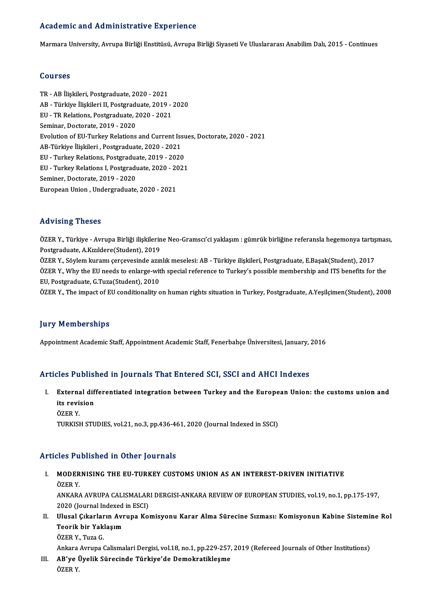#### Academic and Administrative Experience

Marmara University, Avrupa Birliği Enstitüsü, Avrupa Birliği Siyaseti Ve Uluslararası Anabilim Dalı, 2015 - Continues

#### Courses

TR-ABİlişkileri,Postgraduate,2020 -2021 SSATSSS<br>TR - AB İlişkileri, Postgraduate, 2020 - 2021<br>AB - Türkiye İlişkileri II, Postgraduate, 2019 - 2020<br>FUL TB Bolations, Bostgraduate, 2020, 2021 TR - AB İlişkileri, Postgraduate, 2020 - 2021<br>AB - Türkiye İlişkileri II, Postgraduate, 2019 -<br>EU - TR Relations, Postgraduate, 2020 - 2021<br>Seminar, Desterste, 2019, 2020 EU - TR Relations, Postgraduate, 2020 - 2021<br>Seminar, Doctorate, 2019 - 2020 EU - TR Relations, Postgraduate, 2020 - 2021<br>Seminar, Doctorate, 2019 - 2020<br>Evolution of EU-Turkey Relations and Current Issues, Doctorate, 2020 - 2021<br>AP Türkiye Uskilori, Restansduate, 2020, 2021 Seminar, Doctorate, 2019 - 2020<br>Evolution of EU-Turkey Relations and Current Iss<br>AB-Türkiye İlişkileri , Postgraduate, 2020 - 2021<br>EU - Turkey Belations, Bestgraduate, 2010 - 2020 Evolution of EU-Turkey Relations and Current Issu<br>AB-Türkiye İlişkileri , Postgraduate, 2020 - 2021<br>EU - Turkey Relations, Postgraduate, 2019 - 2020<br>EU - Turkey Belations J. Bostgraduate, 2020 - 2021 AB-Türkiye İlişkileri , Postgraduate, 2020 - 2021<br>EU - Turkey Relations, Postgraduate, 2019 - 2020<br>EU - Turkey Relations I, Postgraduate, 2020 - 2021<br>Seminer, Destersta, 2019 - 2020 EU - Turkey Relations, Postgradua<br>EU - Turkey Relations I, Postgradua<br>Seminer, Doctorate, 2019 - 2020<br>European Union, Undergraduate EU - Turkey Relations I, Postgraduate, 2020 - 2021<br>Seminer, Doctorate, 2019 - 2020<br>European Union , Undergraduate, 2020 - 2021

#### Advising Theses

Advising Theses<br>ÖZER Y., Türkiye - Avrupa Birliği ilişkilerine Neo-Gramscı'ci yaklaşım : gümrük birliğine referansla hegemonya tartışması,<br>Postanaduata, A Kızıldare(Student), 2019 raa vising "Insoss"<br>ÖZER Y., Türkiye - Avrupa Birliği ilişkilerin<br>Postgraduate, A.Kızıldere(Student), 2019<br>ÖZEP Y. Söylom laysamı serseyesinde esin ÖZER Y., Türkiye - Avrupa Birliği ilişkilerine Neo-Gramscı'ci yaklaşım : gümrük birliğine referansla hegemonya tartış<br>Postgraduate, A.Kızıldere(Student), 2019<br>ÖZER Y., Söylem kuramı çerçevesinde azınlık meselesi: AB - Türk Postgraduate, A.Kızıldere(Student), 2019<br>ÖZER Y., Söylem kuramı çerçevesinde azınlık meselesi: AB - Türkiye ilişkileri, Postgraduate, E.Başak(Student), 2017<br>ÖZER Y., Why the EU needs to enlarge-with special reference to Tu ÖZER Y., Söylem kuramı çerçevesinde azır<br>ÖZER Y., Why the EU needs to enlarge-wit<br>EU, Postgraduate, G.Tuza(Student), 2010<br>ÖZER Y. The impact of EU conditionality c ÖZER Y., Why the EU needs to enlarge-with special reference to Turkey's possible membership and ITS benefits for the<br>EU, Postgraduate, G.Tuza(Student), 2010<br>ÖZER Y., The impact of EU conditionality on human rights situatio ÖZER Y., The impact of EU conditionality on human rights situation in Turkey, Postgraduate, A.Yeşilçimen(Student), 2008<br>Jury Memberships

Appointment Academic Staff, Appointment Academic Staff, Fenerbahçe Üniversitesi, January, 2016

#### Articles Published in Journals That Entered SCI, SSCI and AHCI Indexes

rticles Published in Journals That Entered SCI, SSCI and AHCI Indexes<br>I. External differentiated integration between Turkey and the European Union: the customs union and<br>its revision its revision<br>External dif<br>its revision<br>özep v Externa<br>its revi:<br>ÖZER Y.<br>TUPKISI its revision<br>ÖZER Y.<br>TURKISH STUDIES, vol.21, no.3, pp.436-461, 2020 (Journal Indexed in SSCI)

#### Articles Published in Other Journals

rticles Published in Other Journals<br>I. MODERNISING THE EU-TURKEY CUSTOMS UNION AS AN INTEREST-DRIVEN INITIATIVE MODER<br>MODER<br>ÖZER Y. ÖZER Y.<br>ANKARA AVRUPA CALISMALARI DERGISI-ANKARA REVIEW OF EUROPEAN STUDIES, vol.19, no.1, pp.175-197,

2020 (Journal Indexed in ESCI)

II. Ulusal Çıkarların Avrupa Komisyonu Karar Alma Sürecine Sızması: Komisyonun Kabine Sistemine Rol 2020 (Journal Indexed<br>Ulusal Çıkarların Avı<br>Teorik bir Yaklaşım<br>Ö<sup>7FD V.</sup> Tuge C Ulusal Çıkarlar<br>Teorik bir Yak<br>ÖZER Y., Tuza G.<br>Ankara Arruna (

ÖZER Y., Tuza G.<br>Ankara Avrupa Calismalari Dergisi, vol.18, no.1, pp.229-257, 2019 (Refereed Journals of Other Institutions)

ÖZER Y., Tuza G.<br>Ankara Avrupa Calismalari Dergisi, vol.18, no.1, pp.229-257,<br>III. AB'ye Üyelik Sürecinde Türkiye'de Demokratikleşme<br>ÖZER V Ankara<br><mark>AB'ye l</mark><br>ÖZER Y.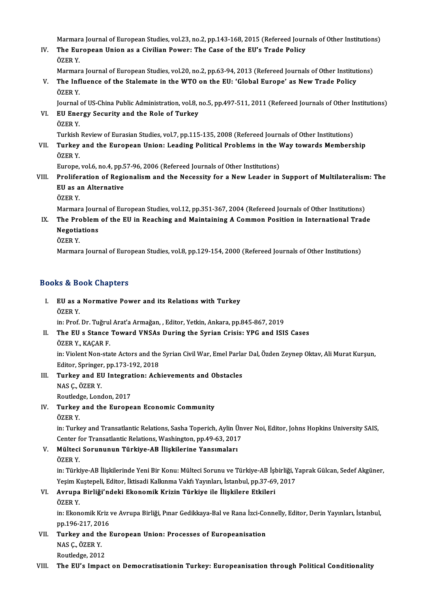Marmara Journal of European Studies, vol.23, no.2, pp.143-168, 2015 (Refereed Journals of Other Institutions)

Marmara Journal of European Studies, vol.23, no.2, pp.143-168, 2015 (Refereed Journ<br>IV. The European Union as a Civilian Power: The Case of the EU's Trade Policy<br>ÖZEP V Marmar<br>**The Eu**l<br>ÖZER Y.<br>Marmar

ÖZER Y.<br>Marmara Journal of European Studies, vol.20, no.2, pp.63-94, 2013 (Refereed Journals of Other Institutions)

ÖZER Y.<br>Marmara Journal of European Studies, vol.20, no.2, pp.63-94, 2013 (Refereed Journals of Other Institut<br>V. The Influence of the Stalemate in the WTO on the EU: 'Global Europe' as New Trade Policy<br>ÖZER Y Marmar<br>**The Inf**<br>ÖZER Y. The Influence of the Stalemate in the WTO on the EU: 'Global Europe' as New Trade Policy<br>ÖZER Y.<br>Journal of US-China Public Administration, vol.8, no.5, pp.497-511, 2011 (Refereed Journals of Other Institutions)<br>EU Energy

ÖZER Y.<br>Journal of US-China Public Administration, vol.8, <br>VI. EU Energy Security and the Role of Turkey<br>ÖZER Y. Journal<br><mark>EU Ene</mark>:<br>ÖZER Y.<br>Turkish EU Energy Security and the Role of Turkey<br>ÖZER Y.<br>Turkish Review of Eurasian Studies, vol.7, pp.115-135, 2008 (Refereed Journals of Other Institutions)<br>Turkey and the European Union: Loading Political Problems in the Way t

ÖZER Y.<br>Turkish Review of Eurasian Studies, vol.7, pp.115-135, 2008 (Refereed Journals of Other Institutions)<br>VII. Turkey and the European Union: Leading Political Problems in the Way towards Membership<br>ÖZER V Turkish<br>**Turkey**<br>ÖZER Y. Turkey and the European Union: Leading Political Problems in the V<br>ÖZER Y.<br>Europe, vol.6, no.4, pp.57-96, 2006 (Refereed Journals of Other Institutions)<br>Proliferation of Pegionalism and the Negessity for a New Leader in

ÖZER Y.<br>Europe, vol.6, no.4, pp.57-96, 2006 (Refereed Journals of Other Institutions)<br>VIII. Proliferation of Regionalism and the Necessity for a New Leader in Support of Multilateralism: The<br>EU 26 AD Alternative Europe, vol.6, no.4, pp.5<br>Proliferation of Regi<br>EU as an Alternative<br>ÖZEP V Prolife<mark>r</mark><br>EU as a<br>ÖZER Y. EU as an Alternative<br>ÖZER Y.<br>Marmara Journal of European Studies, vol.12, pp.351-367, 2004 (Refereed Journals of Other Institutions)

- ÖZER Y.<br>Marmara Journal of European Studies, vol.12, pp.351-367, 2004 (Refereed Journals of Other Institutions)<br>IX. The Problem of the EU in Reaching and Maintaining A Common Position in International Trade<br>Negatiotions Marmara Jouri<br>The Problem<br>Negotiations<br>Özep v The Pro<br>Negotia<br>ÖZER Y.<br>Marmar Negotiations<br>ÖZER Y.<br>Marmara Journal of European Studies, vol.8, pp.129-154, 2000 (Refereed Journals of Other Institutions)
	-

## Books&Book Chapters

ooks & Book Chapters<br>I. EU as a Normative Power and its Relations with Turkey<br>ÖZEP Y EU as a<br>EU as a<br>ÖZER Y. ÖZER Y.<br>in: Prof. Dr. Tuğrul Arat'a Armağan, , Editor, Yetkin, Ankara, pp.845-867, 2019

ÖZER Y.<br>in: Prof. Dr. Tuğrul Arat'a Armağan, , Editor, Yetkin, Ankara, pp.845-867, 2019<br>II. The EU s Stance Toward VNSAs During the Syrian Crisis: YPG and ISIS Cases<br>ÖZER V. KACAR E in: Prof. Dr. Tuğrul<br>**The EU s Stance**<br>ÖZER Y., KAÇAR F.<br>in: Vialant Non sta The EU s Stance Toward VNSAs During the Syrian Crisis: YPG and ISIS Cases<br>ÖZER Y., KAÇAR F.<br>in: Violent Non-state Actors and the Syrian Civil War, Emel Parlar Dal, Özden Zeynep Oktav, Ali Murat Kurşun,<br>Editor Springer pp.1

ÖZER Y., KAÇAR F.<br>in: Violent Non-state Actors and the<br>Editor, Springer, pp.173-192, 2018<br>Turkey and EU Integration: Ach

- Editor, Springer, pp.173-192, 2018<br>III. Turkey and EU Integration: Achievements and Obstacles NASÇ.,ÖZERY. Turkey and EU Integrat<br>NAS Ç., ÖZER Y.<br>Routledge, London, 2017<br>Turkey and the Eurene
- IV. Turkey and the European Economic Community Routled<sub>8</sub><br>Turkey<br>ÖZER Y.
	-

in: Turkey and Transatlantic Relations, Sasha Toperich, Aylin Ünver Noi, Editor, Johns Hopkins University SAIS, Center for Transatlantic Relations, Washington, pp.49-63, 2017 in: Turkey and Transatlantic Relations, Sasha Toperich, Aylin Ü<br>Center for Transatlantic Relations, Washington, pp.49-63, 2017<br>V. Mülteci Sorununun Türkiye-AB İlişkilerine Yansımaları<br>ÖZEP V

- Center f<br>**Mülteci**<br>ÖZER Y.
	-

Mülteci Sorununun Türkiye-AB İlişkilerine Yansımaları<br>ÖZER Y.<br>in: Türkiye-AB İlişkilerinde Yeni Bir Konu: Mülteci Sorunu ve Türkiye-AB İşbirliği, Yaprak Gülcan, Sedef Akgüner, ÖZER Y.<br>in: Türkiye-AB İlişkilerinde Yeni Bir Konu: Mülteci Sorunu ve Türkiye-AB İşbirliği, Y<br>Yeşim Kuştepeli, Editor, İktisadi Kalkınma Vakfı Yayınları, İstanbul, pp.37-69, 2017<br>Ayruna Birliği'ndeki Ekonomik Krigin Türkiy in: Türkiye-AB İlişkilerinde Yeni Bir Konu: Mülteci Sorunu ve Türkiye-AB İşl<br>Yeşim Kuştepeli, Editor, İktisadi Kalkınma Vakfı Yayınları, İstanbul, pp.37-69<br>VI. Avrupa Birliği'ndeki Ekonomik Krizin Türkiye ile İlişkiler

Yeşim Kuştepeli, Editor, İktisadi Kalkınma Vakfı Yayınları, İstanbul, pp.37-69, 2017<br>VI. Avrupa Birliği'ndeki Ekonomik Krizin Türkiye ile İlişkilere Etkileri<br>ÖZER Y.

Avrupa Birliği'ndeki Ekonomik Krizin Türkiye ile İlişkilere Etkileri<br>ÖZER Y.<br>in: Ekonomik Kriz ve Avrupa Birliği, Pınar Gedikkaya-Bal ve Rana İzci-Connelly, Editor, Derin Yayınları, İstanbul,<br>nn 106 217 2016 ÖZER Y.<br>in: Ekonomik Kriz<br>pp.196-217, 2016<br>Turkey and the L in: Ekonomik Kriz ve Avrupa Birliği, Pınar Gedikkaya-Bal ve Rana İzci-Co<br>pp.196-217, 2016<br>VII. Turkey and the European Union: Processes of Europeanisation<br>NAS G ÖZER V

pp.196-217, 2016<br>Turkey and the<br>NAS Ç., ÖZER Y.<br>Routledge, 2012 Turkey and the<br>NAS Ç., ÖZER Y.<br>Routledge, 2012<br>The Ell's Impes

## VIII. The EU's Impact on Democratisationin Turkey: Europeanisation through Political Conditionality